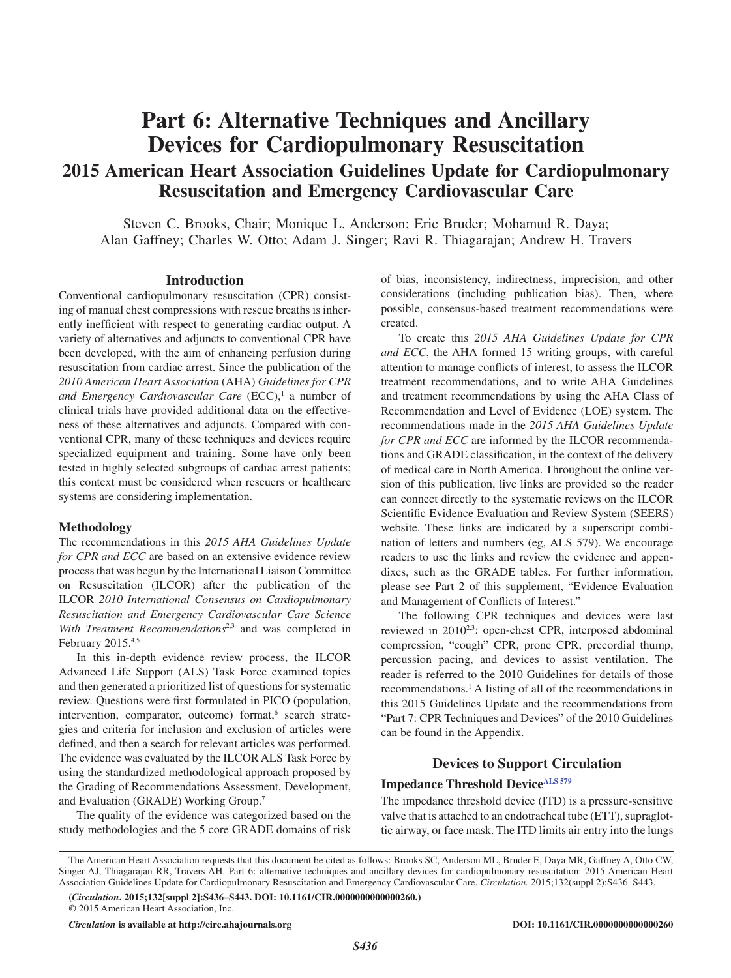# **Part 6: Alternative Techniques and Ancillary Devices for Cardiopulmonary Resuscitation**

## **2015 American Heart Association Guidelines Update for Cardiopulmonary Resuscitation and Emergency Cardiovascular Care**

Steven C. Brooks, Chair; Monique L. Anderson; Eric Bruder; Mohamud R. Daya; Alan Gaffney; Charles W. Otto; Adam J. Singer; Ravi R. Thiagarajan; Andrew H. Travers

### **Introduction**

Conventional cardiopulmonary resuscitation (CPR) consisting of manual chest compressions with rescue breaths is inherently inefficient with respect to generating cardiac output. A variety of alternatives and adjuncts to conventional CPR have been developed, with the aim of enhancing perfusion during resuscitation from cardiac arrest. Since the publication of the *2010 American Heart Association* (AHA) *Guidelines for CPR*  and Emergency Cardiovascular Care (ECC),<sup>1</sup> a number of clinical trials have provided additional data on the effectiveness of these alternatives and adjuncts. Compared with conventional CPR, many of these techniques and devices require specialized equipment and training. Some have only been tested in highly selected subgroups of cardiac arrest patients; this context must be considered when rescuers or healthcare systems are considering implementation.

### **Methodology**

The recommendations in this *2015 AHA Guidelines Update for CPR and ECC* are based on an extensive evidence review process that was begun by the International Liaison Committee on Resuscitation (ILCOR) after the publication of the ILCOR *2010 International Consensus on Cardiopulmonary Resuscitation and Emergency Cardiovascular Care Science With Treatment Recommendations*<sup>2,3</sup> and was completed in February 2015.4,5

In this in-depth evidence review process, the ILCOR Advanced Life Support (ALS) Task Force examined topics and then generated a prioritized list of questions for systematic review. Questions were first formulated in PICO (population, intervention, comparator, outcome) format,<sup>6</sup> search strategies and criteria for inclusion and exclusion of articles were defined, and then a search for relevant articles was performed. The evidence was evaluated by the ILCOR ALS Task Force by using the standardized methodological approach proposed by the Grading of Recommendations Assessment, Development, and Evaluation (GRADE) Working Group.7

The quality of the evidence was categorized based on the study methodologies and the 5 core GRADE domains of risk of bias, inconsistency, indirectness, imprecision, and other considerations (including publication bias). Then, where possible, consensus-based treatment recommendations were created.

To create this *2015 AHA Guidelines Update for CPR and ECC*, the AHA formed 15 writing groups, with careful attention to manage conflicts of interest, to assess the ILCOR treatment recommendations, and to write AHA Guidelines and treatment recommendations by using the AHA Class of Recommendation and Level of Evidence (LOE) system. The recommendations made in the *2015 AHA Guidelines Update for CPR and ECC* are informed by the ILCOR recommendations and GRADE classification, in the context of the delivery of medical care in North America. Throughout the online version of this publication, live links are provided so the reader can connect directly to the systematic reviews on the ILCOR Scientific Evidence Evaluation and Review System (SEERS) website. These links are indicated by a superscript combination of letters and numbers (eg, ALS 579). We encourage readers to use the links and review the evidence and appendixes, such as the GRADE tables. For further information, please see Part 2 of this supplement, "Evidence Evaluation and Management of Conflicts of Interest."

The following CPR techniques and devices were last reviewed in 2010<sup>2,3</sup>: open-chest CPR, interposed abdominal compression, "cough" CPR, prone CPR, precordial thump, percussion pacing, and devices to assist ventilation. The reader is referred to the 2010 Guidelines for details of those recommendations.1 A listing of all of the recommendations in this 2015 Guidelines Update and the recommendations from "Part 7: CPR Techniques and Devices" of the 2010 Guidelines can be found in the Appendix.

### **Devices to Support Circulation**

### **Impedance Threshold Device**<sup>ALS 579</sup>

The impedance threshold device (ITD) is a pressure-sensitive valve that is attached to an endotracheal tube (ETT), supraglottic airway, or face mask. The ITD limits air entry into the lungs

© 2015 American Heart Association, Inc.

**<sup>(</sup>***Circulation***. 2015;132[suppl 2]:S436–S443. DOI: 10.1161/CIR.0000000000000260.)** The American Heart Association requests that this document be cited as follows: Brooks SC, Anderson ML, Bruder E, Daya MR, Gaffney A, Otto CW, Singer AJ, Thiagarajan RR, Travers AH. Part 6: alternative techniques and ancillary devices for cardiopulmonary resuscitation: 2015 American Heart Association Guidelines Update for Cardiopulmonary Resuscitation and Emergency Cardiovascular Care. *Circulation.* 2015;132(suppl 2):S436–S443.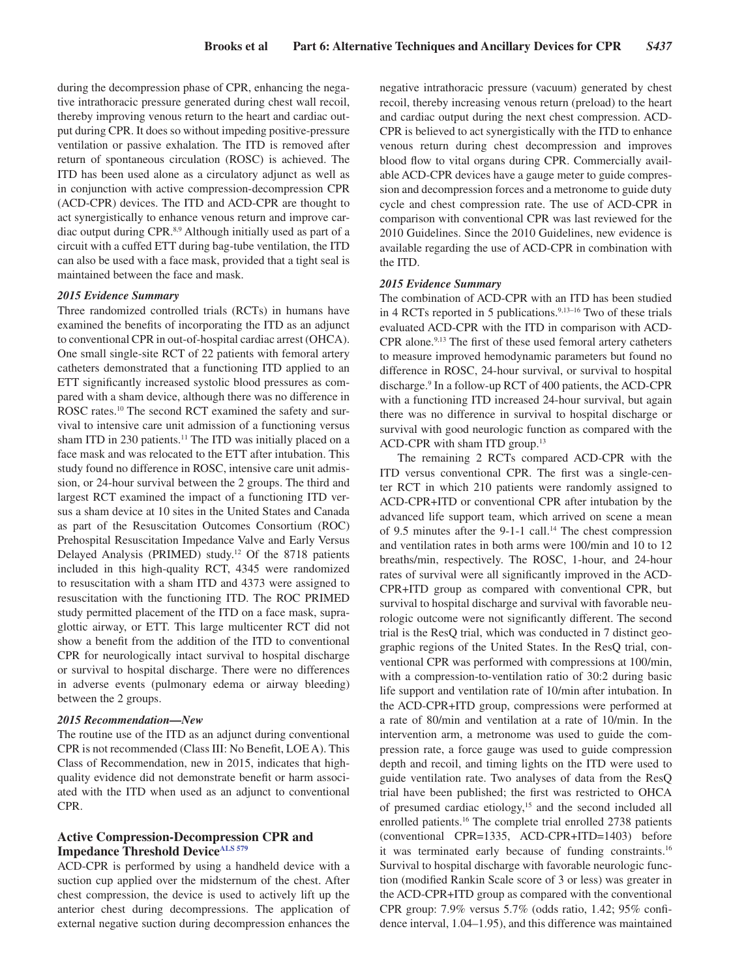during the decompression phase of CPR, enhancing the negative intrathoracic pressure generated during chest wall recoil, thereby improving venous return to the heart and cardiac output during CPR. It does so without impeding positive-pressure ventilation or passive exhalation. The ITD is removed after return of spontaneous circulation (ROSC) is achieved. The ITD has been used alone as a circulatory adjunct as well as in conjunction with active compression-decompression CPR (ACD-CPR) devices. The ITD and ACD-CPR are thought to act synergistically to enhance venous return and improve cardiac output during CPR.8,9 Although initially used as part of a circuit with a cuffed ETT during bag-tube ventilation, the ITD can also be used with a face mask, provided that a tight seal is maintained between the face and mask.

### *2015 Evidence Summary*

Three randomized controlled trials (RCTs) in humans have examined the benefits of incorporating the ITD as an adjunct to conventional CPR in out-of-hospital cardiac arrest (OHCA). One small single-site RCT of 22 patients with femoral artery catheters demonstrated that a functioning ITD applied to an ETT significantly increased systolic blood pressures as compared with a sham device, although there was no difference in ROSC rates.<sup>10</sup> The second RCT examined the safety and survival to intensive care unit admission of a functioning versus sham ITD in 230 patients.<sup>11</sup> The ITD was initially placed on a face mask and was relocated to the ETT after intubation. This study found no difference in ROSC, intensive care unit admission, or 24-hour survival between the 2 groups. The third and largest RCT examined the impact of a functioning ITD versus a sham device at 10 sites in the United States and Canada as part of the Resuscitation Outcomes Consortium (ROC) Prehospital Resuscitation Impedance Valve and Early Versus Delayed Analysis (PRIMED) study.<sup>12</sup> Of the 8718 patients included in this high-quality RCT, 4345 were randomized to resuscitation with a sham ITD and 4373 were assigned to resuscitation with the functioning ITD. The ROC PRIMED study permitted placement of the ITD on a face mask, supraglottic airway, or ETT. This large multicenter RCT did not show a benefit from the addition of the ITD to conventional CPR for neurologically intact survival to hospital discharge or survival to hospital discharge. There were no differences in adverse events (pulmonary edema or airway bleeding) between the 2 groups.

### *2015 Recommendation—New*

The routine use of the ITD as an adjunct during conventional CPR is not recommended (Class III: No Benefit, LOE A). This Class of Recommendation, new in 2015, indicates that highquality evidence did not demonstrate benefit or harm associated with the ITD when used as an adjunct to conventional CPR.

### **Active Compression-Decompression CPR and Impedance Threshold Devic[eALS 579](https://volunteer.heart.org/apps/pico/Pages/PublicComment.aspx?q=579)**

ACD-CPR is performed by using a handheld device with a suction cup applied over the midsternum of the chest. After chest compression, the device is used to actively lift up the anterior chest during decompressions. The application of external negative suction during decompression enhances the negative intrathoracic pressure (vacuum) generated by chest recoil, thereby increasing venous return (preload) to the heart and cardiac output during the next chest compression. ACD-CPR is believed to act synergistically with the ITD to enhance venous return during chest decompression and improves blood flow to vital organs during CPR. Commercially available ACD-CPR devices have a gauge meter to guide compression and decompression forces and a metronome to guide duty cycle and chest compression rate. The use of ACD-CPR in comparison with conventional CPR was last reviewed for the 2010 Guidelines. Since the 2010 Guidelines, new evidence is available regarding the use of ACD-CPR in combination with the ITD.

### *2015 Evidence Summary*

The combination of ACD-CPR with an ITD has been studied in 4 RCTs reported in 5 publications.<sup>9,13-16</sup> Two of these trials evaluated ACD-CPR with the ITD in comparison with ACD-CPR alone.9,13 The first of these used femoral artery catheters to measure improved hemodynamic parameters but found no difference in ROSC, 24-hour survival, or survival to hospital discharge.9 In a follow-up RCT of 400 patients, the ACD-CPR with a functioning ITD increased 24-hour survival, but again there was no difference in survival to hospital discharge or survival with good neurologic function as compared with the ACD-CPR with sham ITD group.13

The remaining 2 RCTs compared ACD-CPR with the ITD versus conventional CPR. The first was a single-center RCT in which 210 patients were randomly assigned to ACD-CPR+ITD or conventional CPR after intubation by the advanced life support team, which arrived on scene a mean of 9.5 minutes after the 9-1-1 call.<sup>14</sup> The chest compression and ventilation rates in both arms were 100/min and 10 to 12 breaths/min, respectively. The ROSC, 1-hour, and 24-hour rates of survival were all significantly improved in the ACD-CPR+ITD group as compared with conventional CPR, but survival to hospital discharge and survival with favorable neurologic outcome were not significantly different. The second trial is the ResQ trial, which was conducted in 7 distinct geographic regions of the United States. In the ResQ trial, conventional CPR was performed with compressions at 100/min, with a compression-to-ventilation ratio of 30:2 during basic life support and ventilation rate of 10/min after intubation. In the ACD-CPR+ITD group, compressions were performed at a rate of 80/min and ventilation at a rate of 10/min. In the intervention arm, a metronome was used to guide the compression rate, a force gauge was used to guide compression depth and recoil, and timing lights on the ITD were used to guide ventilation rate. Two analyses of data from the ResQ trial have been published; the first was restricted to OHCA of presumed cardiac etiology,<sup>15</sup> and the second included all enrolled patients.<sup>16</sup> The complete trial enrolled 2738 patients (conventional CPR=1335, ACD-CPR+ITD=1403) before it was terminated early because of funding constraints.16 Survival to hospital discharge with favorable neurologic function (modified Rankin Scale score of 3 or less) was greater in the ACD-CPR+ITD group as compared with the conventional CPR group: 7.9% versus 5.7% (odds ratio, 1.42; 95% confidence interval, 1.04–1.95), and this difference was maintained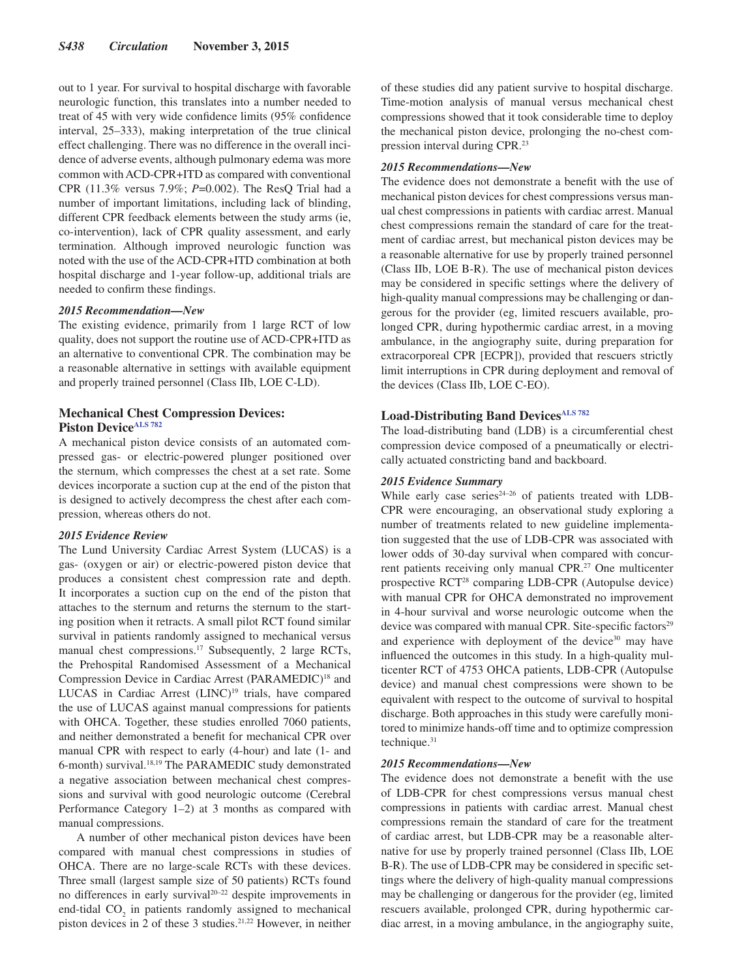out to 1 year. For survival to hospital discharge with favorable neurologic function, this translates into a number needed to treat of 45 with very wide confidence limits (95% confidence interval, 25–333), making interpretation of the true clinical effect challenging. There was no difference in the overall incidence of adverse events, although pulmonary edema was more common with ACD-CPR+ITD as compared with conventional CPR (11.3% versus 7.9%; *P*=0.002). The ResQ Trial had a number of important limitations, including lack of blinding, different CPR feedback elements between the study arms (ie, co-intervention), lack of CPR quality assessment, and early termination. Although improved neurologic function was noted with the use of the ACD-CPR+ITD combination at both hospital discharge and 1-year follow-up, additional trials are needed to confirm these findings.

### *2015 Recommendation—New*

The existing evidence, primarily from 1 large RCT of low quality, does not support the routine use of ACD-CPR+ITD as an alternative to conventional CPR. The combination may be a reasonable alternative in settings with available equipment and properly trained personnel (Class IIb, LOE C-LD).

### **Mechanical Chest Compression Devices: Piston Devic[eALS 782](https://volunteer.heart.org/apps/pico/Pages/PublicComment.aspx?q=782)**

A mechanical piston device consists of an automated compressed gas- or electric-powered plunger positioned over the sternum, which compresses the chest at a set rate. Some devices incorporate a suction cup at the end of the piston that is designed to actively decompress the chest after each compression, whereas others do not.

### *2015 Evidence Review*

The Lund University Cardiac Arrest System (LUCAS) is a gas- (oxygen or air) or electric-powered piston device that produces a consistent chest compression rate and depth. It incorporates a suction cup on the end of the piston that attaches to the sternum and returns the sternum to the starting position when it retracts. A small pilot RCT found similar survival in patients randomly assigned to mechanical versus manual chest compressions.17 Subsequently, 2 large RCTs, the Prehospital Randomised Assessment of a Mechanical Compression Device in Cardiac Arrest (PARAMEDIC)<sup>18</sup> and LUCAS in Cardiac Arrest (LINC)<sup>19</sup> trials, have compared the use of LUCAS against manual compressions for patients with OHCA. Together, these studies enrolled 7060 patients, and neither demonstrated a benefit for mechanical CPR over manual CPR with respect to early (4-hour) and late (1- and 6-month) survival.18,19 The PARAMEDIC study demonstrated a negative association between mechanical chest compressions and survival with good neurologic outcome (Cerebral Performance Category 1–2) at 3 months as compared with manual compressions.

A number of other mechanical piston devices have been compared with manual chest compressions in studies of OHCA. There are no large-scale RCTs with these devices. Three small (largest sample size of 50 patients) RCTs found no differences in early survival $20-22$  despite improvements in end-tidal  $CO_2$  in patients randomly assigned to mechanical piston devices in 2 of these 3 studies.21,22 However, in neither

of these studies did any patient survive to hospital discharge. Time-motion analysis of manual versus mechanical chest compressions showed that it took considerable time to deploy the mechanical piston device, prolonging the no-chest compression interval during CPR.23

### *2015 Recommendations—New*

The evidence does not demonstrate a benefit with the use of mechanical piston devices for chest compressions versus manual chest compressions in patients with cardiac arrest. Manual chest compressions remain the standard of care for the treatment of cardiac arrest, but mechanical piston devices may be a reasonable alternative for use by properly trained personnel (Class IIb, LOE B-R). The use of mechanical piston devices may be considered in specific settings where the delivery of high-quality manual compressions may be challenging or dangerous for the provider (eg, limited rescuers available, prolonged CPR, during hypothermic cardiac arrest, in a moving ambulance, in the angiography suite, during preparation for extracorporeal CPR [ECPR]), provided that rescuers strictly limit interruptions in CPR during deployment and removal of the devices (Class IIb, LOE C-EO).

### Load-Distributing Band Devices<sup>ALS 782</sup>

The load-distributing band (LDB) is a circumferential chest compression device composed of a pneumatically or electrically actuated constricting band and backboard.

### *2015 Evidence Summary*

While early case series $24-26$  of patients treated with LDB-CPR were encouraging, an observational study exploring a number of treatments related to new guideline implementation suggested that the use of LDB-CPR was associated with lower odds of 30-day survival when compared with concurrent patients receiving only manual CPR.<sup>27</sup> One multicenter prospective RCT28 comparing LDB-CPR (Autopulse device) with manual CPR for OHCA demonstrated no improvement in 4-hour survival and worse neurologic outcome when the device was compared with manual CPR. Site-specific factors<sup>29</sup> and experience with deployment of the device<sup>30</sup> may have influenced the outcomes in this study. In a high-quality multicenter RCT of 4753 OHCA patients, LDB-CPR (Autopulse device) and manual chest compressions were shown to be equivalent with respect to the outcome of survival to hospital discharge. Both approaches in this study were carefully monitored to minimize hands-off time and to optimize compression technique.<sup>31</sup>

### *2015 Recommendations—New*

The evidence does not demonstrate a benefit with the use of LDB-CPR for chest compressions versus manual chest compressions in patients with cardiac arrest. Manual chest compressions remain the standard of care for the treatment of cardiac arrest, but LDB-CPR may be a reasonable alternative for use by properly trained personnel (Class IIb, LOE B-R). The use of LDB-CPR may be considered in specific settings where the delivery of high-quality manual compressions may be challenging or dangerous for the provider (eg, limited rescuers available, prolonged CPR, during hypothermic cardiac arrest, in a moving ambulance, in the angiography suite,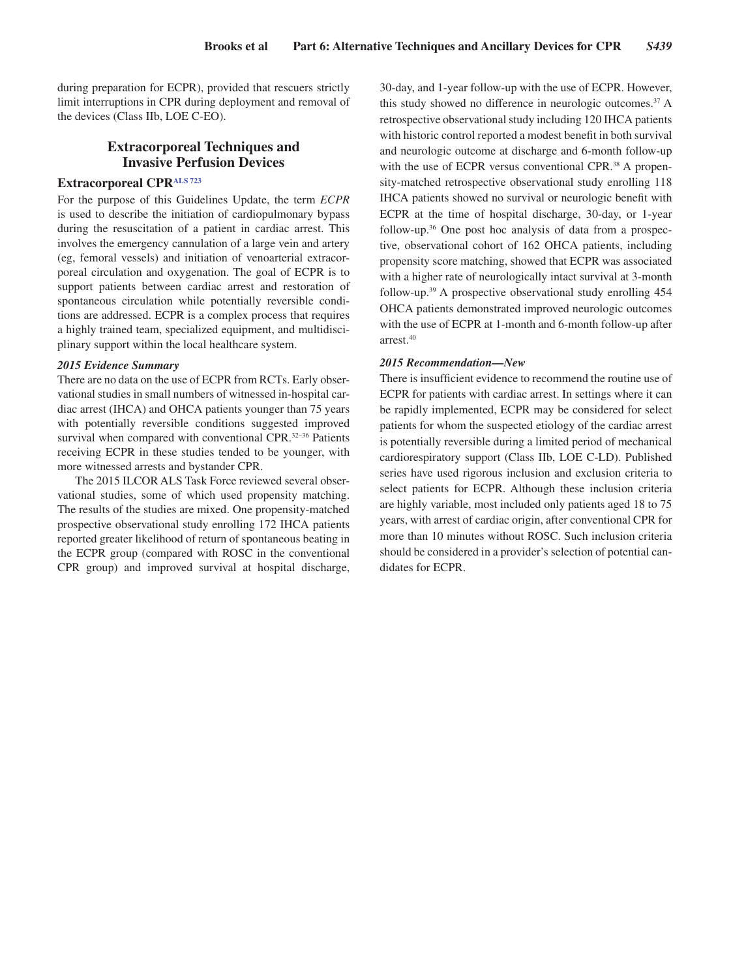during preparation for ECPR), provided that rescuers strictly limit interruptions in CPR during deployment and removal of the devices (Class IIb, LOE C-EO).

### **Extracorporeal Techniques and Invasive Perfusion Devices**

### **Extracorporeal CPR[ALS 723](https://volunteer.heart.org/apps/pico/Pages/PublicComment.aspx?q=723)**

For the purpose of this Guidelines Update, the term *ECPR* is used to describe the initiation of cardiopulmonary bypass during the resuscitation of a patient in cardiac arrest. This involves the emergency cannulation of a large vein and artery (eg, femoral vessels) and initiation of venoarterial extracorporeal circulation and oxygenation. The goal of ECPR is to support patients between cardiac arrest and restoration of spontaneous circulation while potentially reversible conditions are addressed. ECPR is a complex process that requires a highly trained team, specialized equipment, and multidisciplinary support within the local healthcare system.

### *2015 Evidence Summary*

There are no data on the use of ECPR from RCTs. Early observational studies in small numbers of witnessed in-hospital cardiac arrest (IHCA) and OHCA patients younger than 75 years with potentially reversible conditions suggested improved survival when compared with conventional CPR.<sup>32-36</sup> Patients receiving ECPR in these studies tended to be younger, with more witnessed arrests and bystander CPR.

The 2015 ILCOR ALS Task Force reviewed several observational studies, some of which used propensity matching. The results of the studies are mixed. One propensity-matched prospective observational study enrolling 172 IHCA patients reported greater likelihood of return of spontaneous beating in the ECPR group (compared with ROSC in the conventional CPR group) and improved survival at hospital discharge,

30-day, and 1-year follow-up with the use of ECPR. However, this study showed no difference in neurologic outcomes.37 A retrospective observational study including 120 IHCA patients with historic control reported a modest benefit in both survival and neurologic outcome at discharge and 6-month follow-up with the use of ECPR versus conventional CPR.<sup>38</sup> A propensity-matched retrospective observational study enrolling 118 IHCA patients showed no survival or neurologic benefit with ECPR at the time of hospital discharge, 30-day, or 1-year follow-up.36 One post hoc analysis of data from a prospective, observational cohort of 162 OHCA patients, including propensity score matching, showed that ECPR was associated with a higher rate of neurologically intact survival at 3-month follow-up.39 A prospective observational study enrolling 454 OHCA patients demonstrated improved neurologic outcomes with the use of ECPR at 1-month and 6-month follow-up after arrest.40

### *2015 Recommendation—New*

There is insufficient evidence to recommend the routine use of ECPR for patients with cardiac arrest. In settings where it can be rapidly implemented, ECPR may be considered for select patients for whom the suspected etiology of the cardiac arrest is potentially reversible during a limited period of mechanical cardiorespiratory support (Class IIb, LOE C-LD). Published series have used rigorous inclusion and exclusion criteria to select patients for ECPR. Although these inclusion criteria are highly variable, most included only patients aged 18 to 75 years, with arrest of cardiac origin, after conventional CPR for more than 10 minutes without ROSC. Such inclusion criteria should be considered in a provider's selection of potential candidates for ECPR.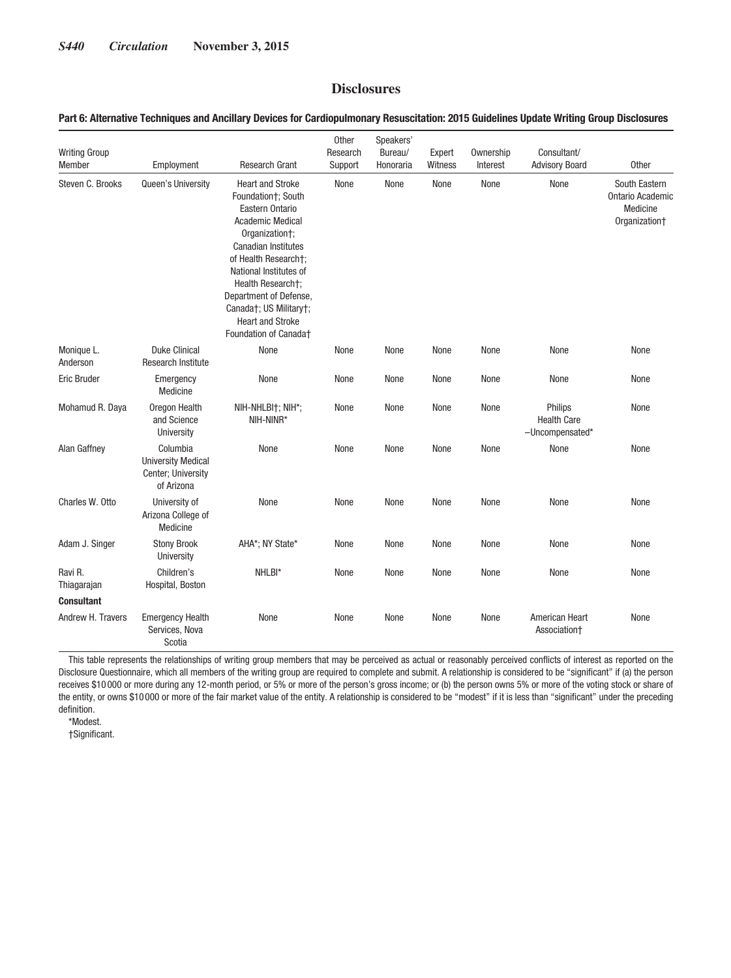### **Disclosures**

### **Part 6: Alternative Techniques and Ancillary Devices for Cardiopulmonary Resuscitation: 2015 Guidelines Update Writing Group Disclosures**

| <b>Writing Group</b><br>Member | Employment                                                                | <b>Research Grant</b>                                                                                                                                                                                                                                                                                                                  | Other<br>Research<br>Support | Speakers'<br>Bureau/<br>Honoraria | Expert<br>Witness | Ownership<br>Interest | Consultant/<br><b>Advisory Board</b>             | Other                                                          |
|--------------------------------|---------------------------------------------------------------------------|----------------------------------------------------------------------------------------------------------------------------------------------------------------------------------------------------------------------------------------------------------------------------------------------------------------------------------------|------------------------------|-----------------------------------|-------------------|-----------------------|--------------------------------------------------|----------------------------------------------------------------|
| Steven C. Brooks               | Queen's University                                                        | <b>Heart and Stroke</b><br>Foundation†; South<br>Eastern Ontario<br><b>Academic Medical</b><br>Organization†;<br><b>Canadian Institutes</b><br>of Health Researcht;<br>National Institutes of<br>Health Research†;<br>Department of Defense,<br>Canada†; US Military†;<br><b>Heart and Stroke</b><br>Foundation of Canada <sup>+</sup> | None                         | None                              | None              | None                  | None                                             | South Eastern<br>Ontario Academic<br>Medicine<br>Organization+ |
| Monique L.<br>Anderson         | <b>Duke Clinical</b><br><b>Research Institute</b>                         | None                                                                                                                                                                                                                                                                                                                                   | None                         | None                              | None              | None                  | None                                             | None                                                           |
| <b>Eric Bruder</b>             | Emergency<br>Medicine                                                     | None                                                                                                                                                                                                                                                                                                                                   | None                         | None                              | None              | None                  | None                                             | None                                                           |
| Mohamud R. Daya                | Oregon Health<br>and Science<br>University                                | NIH-NHLBI†; NIH*;<br>NIH-NINR*                                                                                                                                                                                                                                                                                                         | None                         | None                              | None              | None                  | Philips<br><b>Health Care</b><br>-Uncompensated* | None                                                           |
| Alan Gaffney                   | Columbia<br><b>University Medical</b><br>Center: University<br>of Arizona | None                                                                                                                                                                                                                                                                                                                                   | None                         | None                              | None              | None                  | None                                             | None                                                           |
| Charles W. Otto                | University of<br>Arizona College of<br>Medicine                           | None                                                                                                                                                                                                                                                                                                                                   | None                         | None                              | None              | None                  | None                                             | None                                                           |
| Adam J. Singer                 | <b>Stony Brook</b><br>University                                          | AHA*; NY State*                                                                                                                                                                                                                                                                                                                        | None                         | None                              | None              | None                  | None                                             | None                                                           |
| Ravi R.<br>Thiagarajan         | Children's<br>Hospital, Boston                                            | NHLBI*                                                                                                                                                                                                                                                                                                                                 | None                         | None                              | None              | None                  | None                                             | None                                                           |
| <b>Consultant</b>              |                                                                           |                                                                                                                                                                                                                                                                                                                                        |                              |                                   |                   |                       |                                                  |                                                                |
| Andrew H. Travers              | <b>Emergency Health</b><br>Services, Nova<br>Scotia                       | None                                                                                                                                                                                                                                                                                                                                   | None                         | None                              | None              | None                  | American Heart<br>Association+                   | None                                                           |

This table represents the relationships of writing group members that may be perceived as actual or reasonably perceived conflicts of interest as reported on the Disclosure Questionnaire, which all members of the writing group are required to complete and submit. A relationship is considered to be "significant" if (a) the person receives \$10 000 or more during any 12-month period, or 5% or more of the person's gross income; or (b) the person owns 5% or more of the voting stock or share of the entity, or owns \$10 000 or more of the fair market value of the entity. A relationship is considered to be "modest" if it is less than "significant" under the preceding definition.

\*Modest.

†Significant.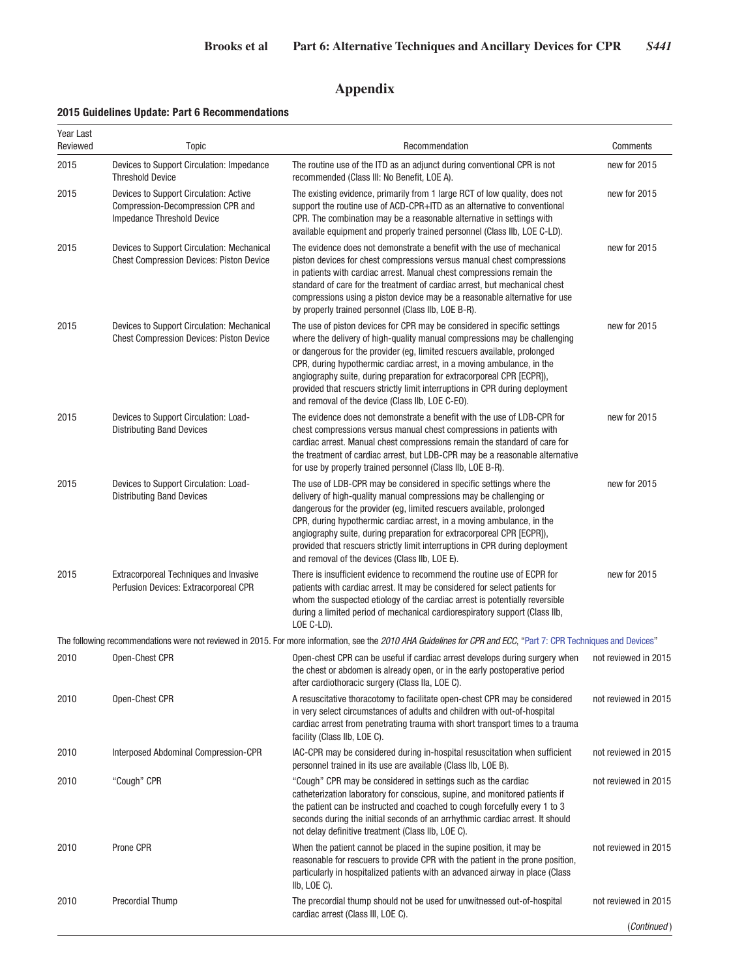### **Appendix**

### **2015 Guidelines Update: Part 6 Recommendations**

| Year Last<br>Reviewed                                                                                                                                            | Topic                                                                                                     | Recommendation                                                                                                                                                                                                                                                                                                                                                                                                                                                                                                          | Comments             |  |  |  |  |
|------------------------------------------------------------------------------------------------------------------------------------------------------------------|-----------------------------------------------------------------------------------------------------------|-------------------------------------------------------------------------------------------------------------------------------------------------------------------------------------------------------------------------------------------------------------------------------------------------------------------------------------------------------------------------------------------------------------------------------------------------------------------------------------------------------------------------|----------------------|--|--|--|--|
| 2015                                                                                                                                                             | Devices to Support Circulation: Impedance<br><b>Threshold Device</b>                                      | The routine use of the ITD as an adjunct during conventional CPR is not<br>recommended (Class III: No Benefit, LOE A).                                                                                                                                                                                                                                                                                                                                                                                                  | new for 2015         |  |  |  |  |
| 2015                                                                                                                                                             | Devices to Support Circulation: Active<br>Compression-Decompression CPR and<br>Impedance Threshold Device | The existing evidence, primarily from 1 large RCT of low quality, does not<br>support the routine use of ACD-CPR+ITD as an alternative to conventional<br>CPR. The combination may be a reasonable alternative in settings with<br>available equipment and properly trained personnel (Class IIb, LOE C-LD).                                                                                                                                                                                                            | new for 2015         |  |  |  |  |
| 2015                                                                                                                                                             | Devices to Support Circulation: Mechanical<br><b>Chest Compression Devices: Piston Device</b>             | The evidence does not demonstrate a benefit with the use of mechanical<br>piston devices for chest compressions versus manual chest compressions<br>in patients with cardiac arrest. Manual chest compressions remain the<br>standard of care for the treatment of cardiac arrest, but mechanical chest<br>compressions using a piston device may be a reasonable alternative for use<br>by properly trained personnel (Class IIb, LOE B-R).                                                                            | new for 2015         |  |  |  |  |
| 2015                                                                                                                                                             | Devices to Support Circulation: Mechanical<br><b>Chest Compression Devices: Piston Device</b>             | The use of piston devices for CPR may be considered in specific settings<br>where the delivery of high-quality manual compressions may be challenging<br>or dangerous for the provider (eg, limited rescuers available, prolonged<br>CPR, during hypothermic cardiac arrest, in a moving ambulance, in the<br>angiography suite, during preparation for extracorporeal CPR [ECPR]),<br>provided that rescuers strictly limit interruptions in CPR during deployment<br>and removal of the device (Class IIb, LOE C-EO). | new for 2015         |  |  |  |  |
| 2015                                                                                                                                                             | Devices to Support Circulation: Load-<br><b>Distributing Band Devices</b>                                 | The evidence does not demonstrate a benefit with the use of LDB-CPR for<br>chest compressions versus manual chest compressions in patients with<br>cardiac arrest. Manual chest compressions remain the standard of care for<br>the treatment of cardiac arrest, but LDB-CPR may be a reasonable alternative<br>for use by properly trained personnel (Class IIb, LOE B-R).                                                                                                                                             | new for 2015         |  |  |  |  |
| 2015                                                                                                                                                             | Devices to Support Circulation: Load-<br><b>Distributing Band Devices</b>                                 | The use of LDB-CPR may be considered in specific settings where the<br>delivery of high-quality manual compressions may be challenging or<br>dangerous for the provider (eg, limited rescuers available, prolonged<br>CPR, during hypothermic cardiac arrest, in a moving ambulance, in the<br>angiography suite, during preparation for extracorporeal CPR [ECPR]),<br>provided that rescuers strictly limit interruptions in CPR during deployment<br>and removal of the devices (Class IIb, LOE E).                  | new for 2015         |  |  |  |  |
| 2015                                                                                                                                                             | Extracorporeal Techniques and Invasive<br>Perfusion Devices: Extracorporeal CPR                           | There is insufficient evidence to recommend the routine use of ECPR for<br>patients with cardiac arrest. It may be considered for select patients for<br>whom the suspected etiology of the cardiac arrest is potentially reversible<br>during a limited period of mechanical cardiorespiratory support (Class IIb,<br>LOE C-LD).                                                                                                                                                                                       | new for 2015         |  |  |  |  |
| The following recommendations were not reviewed in 2015. For more information, see the 2010 AHA Guidelines for CPR and ECC, "Part 7: CPR Techniques and Devices" |                                                                                                           |                                                                                                                                                                                                                                                                                                                                                                                                                                                                                                                         |                      |  |  |  |  |
| 2010                                                                                                                                                             | Open-Chest CPR                                                                                            | Open-chest CPR can be useful if cardiac arrest develops during surgery when<br>the chest or abdomen is already open, or in the early postoperative period<br>after cardiothoracic surgery (Class IIa, LOE C).                                                                                                                                                                                                                                                                                                           | not reviewed in 2015 |  |  |  |  |
| 2010                                                                                                                                                             | Open-Chest CPR                                                                                            | A resuscitative thoracotomy to facilitate open-chest CPR may be considered<br>in very select circumstances of adults and children with out-of-hospital<br>cardiac arrest from penetrating trauma with short transport times to a trauma<br>facility (Class IIb, LOE C).                                                                                                                                                                                                                                                 | not reviewed in 2015 |  |  |  |  |
| 2010                                                                                                                                                             | Interposed Abdominal Compression-CPR                                                                      | IAC-CPR may be considered during in-hospital resuscitation when sufficient<br>personnel trained in its use are available (Class IIb, LOE B).                                                                                                                                                                                                                                                                                                                                                                            | not reviewed in 2015 |  |  |  |  |
| 2010                                                                                                                                                             | "Cough" CPR                                                                                               | "Cough" CPR may be considered in settings such as the cardiac<br>catheterization laboratory for conscious, supine, and monitored patients if<br>the patient can be instructed and coached to cough forcefully every 1 to 3<br>seconds during the initial seconds of an arrhythmic cardiac arrest. It should<br>not delay definitive treatment (Class IIb, LOE C).                                                                                                                                                       | not reviewed in 2015 |  |  |  |  |
| 2010                                                                                                                                                             | Prone CPR                                                                                                 | When the patient cannot be placed in the supine position, it may be<br>reasonable for rescuers to provide CPR with the patient in the prone position,<br>particularly in hospitalized patients with an advanced airway in place (Class<br>IIb, LOE C).                                                                                                                                                                                                                                                                  | not reviewed in 2015 |  |  |  |  |
| 2010                                                                                                                                                             | <b>Precordial Thump</b>                                                                                   | The precordial thump should not be used for unwitnessed out-of-hospital<br>cardiac arrest (Class III, LOE C).                                                                                                                                                                                                                                                                                                                                                                                                           | not reviewed in 2015 |  |  |  |  |
|                                                                                                                                                                  |                                                                                                           |                                                                                                                                                                                                                                                                                                                                                                                                                                                                                                                         | (Continued)          |  |  |  |  |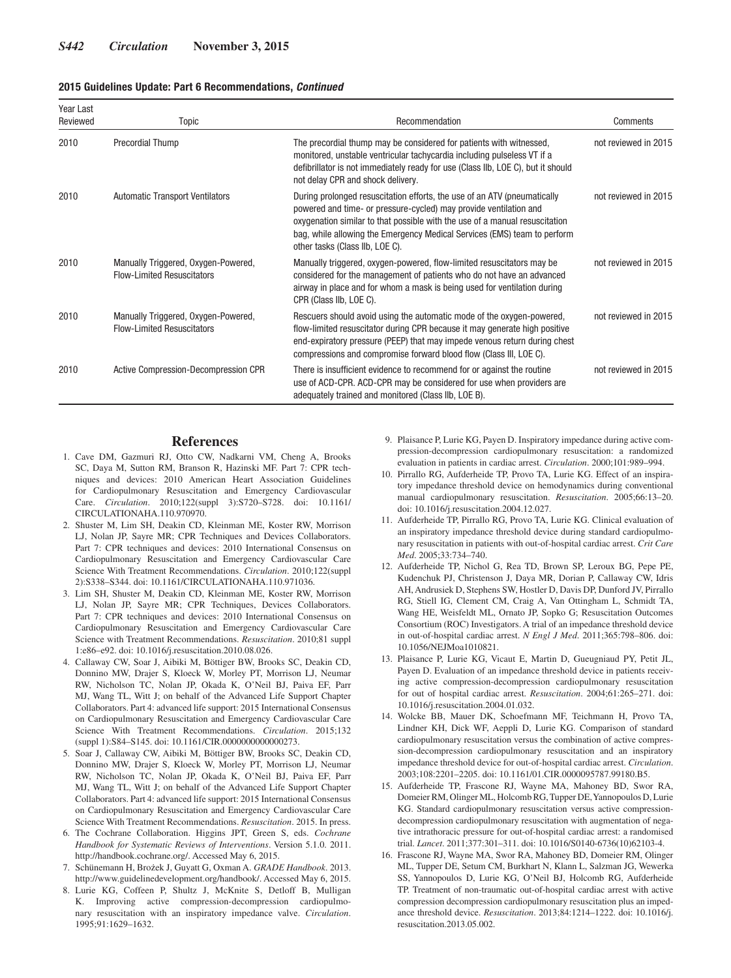#### **2015 Guidelines Update: Part 6 Recommendations,** *Continued*

| Year Last<br>Reviewed | Topic                                                                    | Recommendation                                                                                                                                                                                                                                                                                                                              | Comments             |
|-----------------------|--------------------------------------------------------------------------|---------------------------------------------------------------------------------------------------------------------------------------------------------------------------------------------------------------------------------------------------------------------------------------------------------------------------------------------|----------------------|
| 2010                  | Precordial Thump                                                         | The precordial thump may be considered for patients with witnessed,<br>monitored, unstable ventricular tachycardia including pulseless VT if a<br>defibrillator is not immediately ready for use (Class IIb, LOE C), but it should<br>not delay CPR and shock delivery.                                                                     | not reviewed in 2015 |
| 2010                  | <b>Automatic Transport Ventilators</b>                                   | During prolonged resuscitation efforts, the use of an ATV (pneumatically<br>powered and time- or pressure-cycled) may provide ventilation and<br>oxygenation similar to that possible with the use of a manual resuscitation<br>bag, while allowing the Emergency Medical Services (EMS) team to perform<br>other tasks (Class IIb, LOE C). | not reviewed in 2015 |
| 2010                  | Manually Triggered, Oxygen-Powered,<br><b>Flow-Limited Resuscitators</b> | Manually triggered, oxygen-powered, flow-limited resuscitators may be<br>considered for the management of patients who do not have an advanced<br>airway in place and for whom a mask is being used for ventilation during<br>CPR (Class IIb, LOE C).                                                                                       | not reviewed in 2015 |
| 2010                  | Manually Triggered, Oxygen-Powered,<br><b>Flow-Limited Resuscitators</b> | Rescuers should avoid using the automatic mode of the oxygen-powered,<br>flow-limited resuscitator during CPR because it may generate high positive<br>end-expiratory pressure (PEEP) that may impede venous return during chest<br>compressions and compromise forward blood flow (Class III, LOE C).                                      | not reviewed in 2015 |
| 2010                  | Active Compression-Decompression CPR                                     | There is insufficient evidence to recommend for or against the routine<br>use of ACD-CPR. ACD-CPR may be considered for use when providers are<br>adequately trained and monitored (Class IIb, LOE B).                                                                                                                                      | not reviewed in 2015 |

#### **References**

- 1. Cave DM, Gazmuri RJ, Otto CW, Nadkarni VM, Cheng A, Brooks SC, Daya M, Sutton RM, Branson R, Hazinski MF. Part 7: CPR techniques and devices: 2010 American Heart Association Guidelines for Cardiopulmonary Resuscitation and Emergency Cardiovascular Care. *Circulation*. 2010;122(suppl 3):S720–S728. doi: 10.1161/ CIRCULATIONAHA.110.970970.
- 2. Shuster M, Lim SH, Deakin CD, Kleinman ME, Koster RW, Morrison LJ, Nolan JP, Sayre MR; CPR Techniques and Devices Collaborators. Part 7: CPR techniques and devices: 2010 International Consensus on Cardiopulmonary Resuscitation and Emergency Cardiovascular Care Science With Treatment Recommendations. *Circulation*. 2010;122(suppl 2):S338–S344. doi: 10.1161/CIRCULATIONAHA.110.971036.
- 3. Lim SH, Shuster M, Deakin CD, Kleinman ME, Koster RW, Morrison LJ, Nolan JP, Sayre MR; CPR Techniques, Devices Collaborators. Part 7: CPR techniques and devices: 2010 International Consensus on Cardiopulmonary Resuscitation and Emergency Cardiovascular Care Science with Treatment Recommendations. *Resuscitation*. 2010;81 suppl 1:e86–e92. doi: 10.1016/j.resuscitation.2010.08.026.
- 4. Callaway CW, Soar J, Aibiki M, Böttiger BW, Brooks SC, Deakin CD, Donnino MW, Drajer S, Kloeck W, Morley PT, Morrison LJ, Neumar RW, Nicholson TC, Nolan JP, Okada K, O'Neil BJ, Paiva EF, Parr MJ, Wang TL, Witt J; on behalf of the Advanced Life Support Chapter Collaborators. Part 4: advanced life support: 2015 International Consensus on Cardiopulmonary Resuscitation and Emergency Cardiovascular Care Science With Treatment Recommendations. *Circulation*. 2015;132 (suppl 1):S84–S145. doi: 10.1161/CIR.0000000000000273.
- 5. Soar J, Callaway CW, Aibiki M, Böttiger BW, Brooks SC, Deakin CD, Donnino MW, Drajer S, Kloeck W, Morley PT, Morrison LJ, Neumar RW, Nicholson TC, Nolan JP, Okada K, O'Neil BJ, Paiva EF, Parr MJ, Wang TL, Witt J; on behalf of the Advanced Life Support Chapter Collaborators. Part 4: advanced life support: 2015 International Consensus on Cardiopulmonary Resuscitation and Emergency Cardiovascular Care Science With Treatment Recommendations. *Resuscitation*. 2015. In press.
- 6. The Cochrane Collaboration. Higgins JPT, Green S, eds. *Cochrane Handbook for Systematic Reviews of Interventions*. Version 5.1.0. 2011. [http://handbook.cochrane.org/.](http://www.handbook.cochrane.org/) Accessed May 6, 2015.
- 7. Schünemann H, Brożek J, Guyatt G, Oxman A. *GRADE Handbook*. 2013. [http://www.guidelinedevelopment.org/handbook/.](http://www.guidelinedevelopment.org/handbook/) Accessed May 6, 2015.
- 8. Lurie KG, Coffeen P, Shultz J, McKnite S, Detloff B, Mulligan K. Improving active compression-decompression cardiopulmonary resuscitation with an inspiratory impedance valve. *Circulation*. 1995;91:1629–1632.
- 9. Plaisance P, Lurie KG, Payen D. Inspiratory impedance during active compression-decompression cardiopulmonary resuscitation: a randomized evaluation in patients in cardiac arrest. *Circulation*. 2000;101:989–994.
- 10. Pirrallo RG, Aufderheide TP, Provo TA, Lurie KG. Effect of an inspiratory impedance threshold device on hemodynamics during conventional manual cardiopulmonary resuscitation. *Resuscitation*. 2005;66:13–20. doi: 10.1016/j.resuscitation.2004.12.027.
- 11. Aufderheide TP, Pirrallo RG, Provo TA, Lurie KG. Clinical evaluation of an inspiratory impedance threshold device during standard cardiopulmonary resuscitation in patients with out-of-hospital cardiac arrest. *Crit Care Med*. 2005;33:734–740.
- 12. Aufderheide TP, Nichol G, Rea TD, Brown SP, Leroux BG, Pepe PE, Kudenchuk PJ, Christenson J, Daya MR, Dorian P, Callaway CW, Idris AH, Andrusiek D, Stephens SW, Hostler D, Davis DP, Dunford JV, Pirrallo RG, Stiell IG, Clement CM, Craig A, Van Ottingham L, Schmidt TA, Wang HE, Weisfeldt ML, Ornato JP, Sopko G; Resuscitation Outcomes Consortium (ROC) Investigators. A trial of an impedance threshold device in out-of-hospital cardiac arrest. *N Engl J Med*. 2011;365:798–806. doi: 10.1056/NEJMoa1010821.
- 13. Plaisance P, Lurie KG, Vicaut E, Martin D, Gueugniaud PY, Petit JL, Payen D. Evaluation of an impedance threshold device in patients receiving active compression-decompression cardiopulmonary resuscitation for out of hospital cardiac arrest. *Resuscitation*. 2004;61:265–271. doi: 10.1016/j.resuscitation.2004.01.032.
- 14. Wolcke BB, Mauer DK, Schoefmann MF, Teichmann H, Provo TA, Lindner KH, Dick WF, Aeppli D, Lurie KG. Comparison of standard cardiopulmonary resuscitation versus the combination of active compression-decompression cardiopulmonary resuscitation and an inspiratory impedance threshold device for out-of-hospital cardiac arrest. *Circulation*. 2003;108:2201–2205. doi: 10.1161/01.CIR.0000095787.99180.B5.
- 15. Aufderheide TP, Frascone RJ, Wayne MA, Mahoney BD, Swor RA, Domeier RM, Olinger ML, Holcomb RG, Tupper DE, Yannopoulos D, Lurie KG. Standard cardiopulmonary resuscitation versus active compressiondecompression cardiopulmonary resuscitation with augmentation of negative intrathoracic pressure for out-of-hospital cardiac arrest: a randomised trial. *Lancet*. 2011;377:301–311. doi: 10.1016/S0140-6736(10)62103-4.
- 16. Frascone RJ, Wayne MA, Swor RA, Mahoney BD, Domeier RM, Olinger ML, Tupper DE, Setum CM, Burkhart N, Klann L, Salzman JG, Wewerka SS, Yannopoulos D, Lurie KG, O'Neil BJ, Holcomb RG, Aufderheide TP. Treatment of non-traumatic out-of-hospital cardiac arrest with active compression decompression cardiopulmonary resuscitation plus an impedance threshold device. *Resuscitation*. 2013;84:1214–1222. doi: 10.1016/j. resuscitation.2013.05.002.